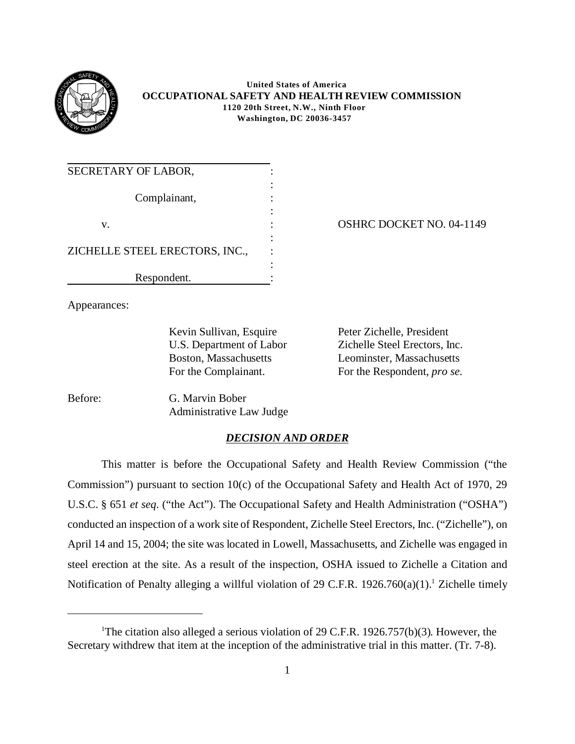

#### **United States of America OCCUPATIONAL SAFETY AND HEALTH REVIEW COMMISSION 1120 20th Street, N.W., Ninth Floor Washington, DC 20036-3457**

| SECRETARY OF LABOR,            |  |
|--------------------------------|--|
| Complainant,                   |  |
|                                |  |
| V.                             |  |
|                                |  |
| ZICHELLE STEEL ERECTORS, INC., |  |
|                                |  |
| Respondent.                    |  |

OSHRC DOCKET NO. 04-1149

Appearances:

Kevin Sullivan, Esquire Peter Zichelle, President U.S. Department of Labor Boston, Massachusetts For the Complainant.

Zichelle Steel Erectors, Inc. Leominster, Massachusetts For the Respondent, *pro se*.

Before: G. Marvin Bober Administrative Law Judge

# *DECISION AND ORDER*

This matter is before the Occupational Safety and Health Review Commission ("the Commission") pursuant to section 10(c) of the Occupational Safety and Health Act of 1970, 29 U.S.C. § 651 *et seq*. ("the Act"). The Occupational Safety and Health Administration ("OSHA") conducted an inspection of a work site of Respondent, Zichelle Steel Erectors, Inc. ("Zichelle"), on April 14 and 15, 2004; the site was located in Lowell, Massachusetts, and Zichelle was engaged in steel erection at the site. As a result of the inspection, OSHA issued to Zichelle a Citation and Notification of Penalty alleging a willful violation of 29 C.F.R.  $1926.760(a)(1)$ .<sup>1</sup> Zichelle timely

<sup>&</sup>lt;sup>1</sup>The citation also alleged a serious violation of 29 C.F.R. 1926.757(b)(3). However, the Secretary withdrew that item at the inception of the administrative trial in this matter. (Tr. 7-8).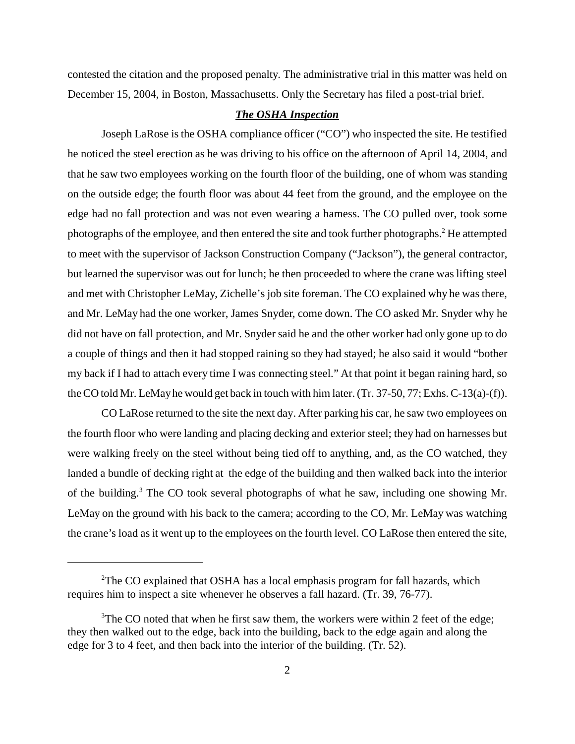contested the citation and the proposed penalty. The administrative trial in this matter was held on December 15, 2004, in Boston, Massachusetts. Only the Secretary has filed a post-trial brief.

### *The OSHA Inspection*

Joseph LaRose is the OSHA compliance officer ("CO") who inspected the site. He testified he noticed the steel erection as he was driving to his office on the afternoon of April 14, 2004, and that he saw two employees working on the fourth floor of the building, one of whom was standing on the outside edge; the fourth floor was about 44 feet from the ground, and the employee on the edge had no fall protection and was not even wearing a harness. The CO pulled over, took some photographs of the employee, and then entered the site and took further photographs.<sup>2</sup> He attempted to meet with the supervisor of Jackson Construction Company ("Jackson"), the general contractor, but learned the supervisor was out for lunch; he then proceeded to where the crane was lifting steel and met with Christopher LeMay, Zichelle's job site foreman. The CO explained why he was there, and Mr. LeMay had the one worker, James Snyder, come down. The CO asked Mr. Snyder why he did not have on fall protection, and Mr. Snyder said he and the other worker had only gone up to do a couple of things and then it had stopped raining so they had stayed; he also said it would "bother my back if I had to attach every time I was connecting steel." At that point it began raining hard, so the CO told Mr. LeMay he would get back in touch with him later. (Tr. 37-50, 77; Exhs. C-13(a)-(f)).

CO LaRose returned to the site the next day. After parking his car, he saw two employees on the fourth floor who were landing and placing decking and exterior steel; they had on harnesses but were walking freely on the steel without being tied off to anything, and, as the CO watched, they landed a bundle of decking right at the edge of the building and then walked back into the interior of the building.<sup>3</sup> The CO took several photographs of what he saw, including one showing Mr. LeMay on the ground with his back to the camera; according to the CO, Mr. LeMay was watching the crane's load as it went up to the employees on the fourth level. CO LaRose then entered the site,

<sup>&</sup>lt;sup>2</sup>The CO explained that OSHA has a local emphasis program for fall hazards, which requires him to inspect a site whenever he observes a fall hazard. (Tr. 39, 76-77).

 $3$ The CO noted that when he first saw them, the workers were within 2 feet of the edge; they then walked out to the edge, back into the building, back to the edge again and along the edge for 3 to 4 feet, and then back into the interior of the building. (Tr. 52).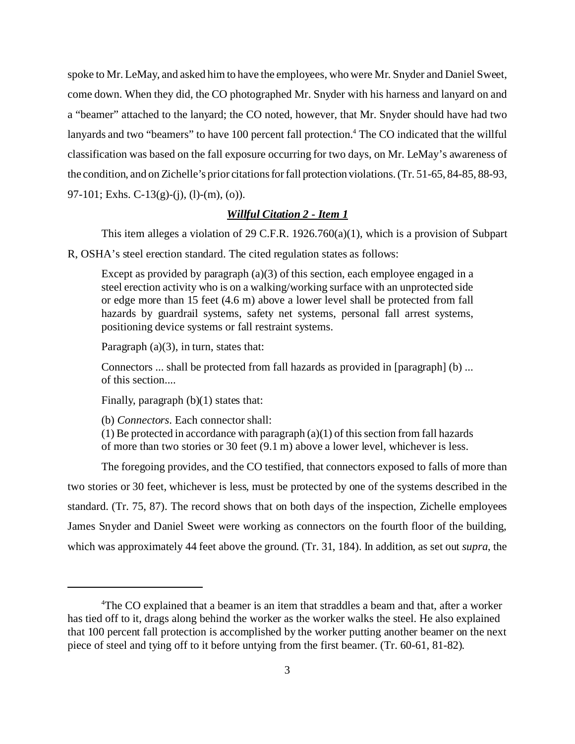spoke to Mr. LeMay, and asked him to have the employees, who were Mr. Snyder and Daniel Sweet, come down. When they did, the CO photographed Mr. Snyder with his harness and lanyard on and a "beamer" attached to the lanyard; the CO noted, however, that Mr. Snyder should have had two lanyards and two "beamers" to have 100 percent fall protection.<sup>4</sup> The CO indicated that the willful classification was based on the fall exposure occurring for two days, on Mr. LeMay's awareness of the condition, and on Zichelle's prior citations for fall protection violations. (Tr. 51-65, 84-85, 88-93, 97-101; Exhs. C-13(g)-(j), (l)-(m), (o)).

## *Willful Citation 2 - Item 1*

This item alleges a violation of 29 C.F.R. 1926.760(a)(1), which is a provision of Subpart

R, OSHA's steel erection standard. The cited regulation states as follows:

Except as provided by paragraph (a)(3) of this section, each employee engaged in a steel erection activity who is on a walking/working surface with an unprotected side or edge more than 15 feet (4.6 m) above a lower level shall be protected from fall hazards by guardrail systems, safety net systems, personal fall arrest systems, positioning device systems or fall restraint systems.

Paragraph  $(a)(3)$ , in turn, states that:

Connectors ... shall be protected from fall hazards as provided in [paragraph] (b) ... of this section....

Finally, paragraph (b)(1) states that:

(b) *Connectors*. Each connector shall:

 $(1)$  Be protected in accordance with paragraph  $(a)(1)$  of this section from fall hazards of more than two stories or 30 feet (9.1 m) above a lower level, whichever is less.

The foregoing provides, and the CO testified, that connectors exposed to falls of more than two stories or 30 feet, whichever is less, must be protected by one of the systems described in the standard. (Tr. 75, 87). The record shows that on both days of the inspection, Zichelle employees James Snyder and Daniel Sweet were working as connectors on the fourth floor of the building, which was approximately 44 feet above the ground. (Tr. 31, 184). In addition, as set out *supra*, the

<sup>&</sup>lt;sup>4</sup>The CO explained that a beamer is an item that straddles a beam and that, after a worker has tied off to it, drags along behind the worker as the worker walks the steel. He also explained that 100 percent fall protection is accomplished by the worker putting another beamer on the next piece of steel and tying off to it before untying from the first beamer. (Tr. 60-61, 81-82).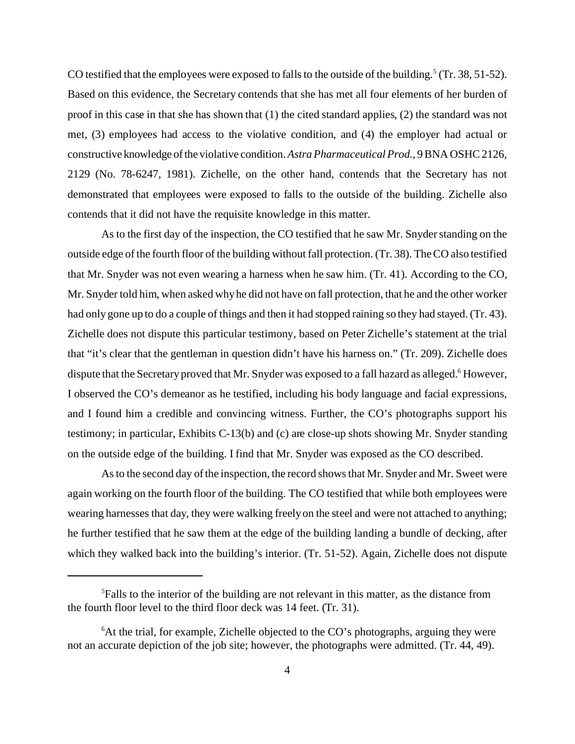CO testified that the employees were exposed to falls to the outside of the building.<sup>5</sup> (Tr. 38, 51-52). Based on this evidence, the Secretary contends that she has met all four elements of her burden of proof in this case in that she has shown that (1) the cited standard applies, (2) the standard was not met, (3) employees had access to the violative condition, and (4) the employer had actual or constructive knowledge of the violative condition. *Astra Pharmaceutical Prod.,* 9 BNA OSHC 2126, 2129 (No. 78-6247, 1981). Zichelle, on the other hand, contends that the Secretary has not demonstrated that employees were exposed to falls to the outside of the building. Zichelle also contends that it did not have the requisite knowledge in this matter.

As to the first day of the inspection, the CO testified that he saw Mr. Snyder standing on the outside edge of the fourth floor of the building without fall protection. (Tr. 38). The CO also testified that Mr. Snyder was not even wearing a harness when he saw him. (Tr. 41). According to the CO, Mr. Snyder told him, when asked why he did not have on fall protection, that he and the other worker had only gone up to do a couple of things and then it had stopped raining so they had stayed. (Tr. 43). Zichelle does not dispute this particular testimony, based on Peter Zichelle's statement at the trial that "it's clear that the gentleman in question didn't have his harness on." (Tr. 209). Zichelle does dispute that the Secretary proved that Mr. Snyder was exposed to a fall hazard as alleged.<sup>6</sup> However, I observed the CO's demeanor as he testified, including his body language and facial expressions, and I found him a credible and convincing witness. Further, the CO's photographs support his testimony; in particular, Exhibits C-13(b) and (c) are close-up shots showing Mr. Snyder standing on the outside edge of the building. I find that Mr. Snyder was exposed as the CO described.

As to the second day of the inspection, the record shows that Mr. Snyder and Mr. Sweet were again working on the fourth floor of the building. The CO testified that while both employees were wearing harnesses that day, they were walking freely on the steel and were not attached to anything; he further testified that he saw them at the edge of the building landing a bundle of decking, after which they walked back into the building's interior. (Tr. 51-52). Again, Zichelle does not dispute

<sup>5</sup> Falls to the interior of the building are not relevant in this matter, as the distance from the fourth floor level to the third floor deck was 14 feet. (Tr. 31).

<sup>&</sup>lt;sup>6</sup>At the trial, for example, Zichelle objected to the CO's photographs, arguing they were not an accurate depiction of the job site; however, the photographs were admitted. (Tr. 44, 49).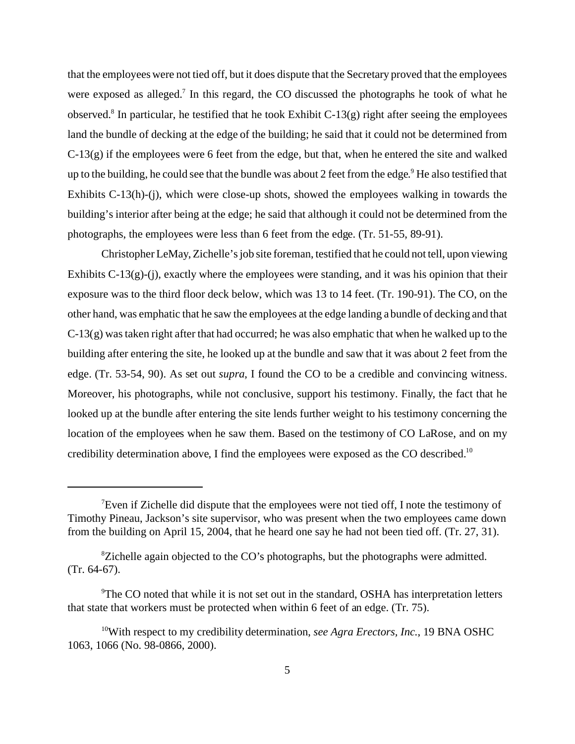that the employees were not tied off, but it does dispute that the Secretary proved that the employees were exposed as alleged.<sup>7</sup> In this regard, the CO discussed the photographs he took of what he observed.8 In particular, he testified that he took Exhibit C-13(g) right after seeing the employees land the bundle of decking at the edge of the building; he said that it could not be determined from  $C-13(g)$  if the employees were 6 feet from the edge, but that, when he entered the site and walked up to the building, he could see that the bundle was about 2 feet from the edge. $^9$  He also testified that Exhibits C-13(h)-(j), which were close-up shots, showed the employees walking in towards the building's interior after being at the edge; he said that although it could not be determined from the photographs, the employees were less than 6 feet from the edge. (Tr. 51-55, 89-91).

Christopher LeMay, Zichelle's job site foreman, testified that he could not tell, upon viewing Exhibits C-13(g)-(j), exactly where the employees were standing, and it was his opinion that their exposure was to the third floor deck below, which was 13 to 14 feet. (Tr. 190-91). The CO, on the other hand, was emphatic that he saw the employees at the edge landing a bundle of decking and that C-13(g) was taken right after that had occurred; he was also emphatic that when he walked up to the building after entering the site, he looked up at the bundle and saw that it was about 2 feet from the edge. (Tr. 53-54, 90). As set out *supra*, I found the CO to be a credible and convincing witness. Moreover, his photographs, while not conclusive, support his testimony. Finally, the fact that he looked up at the bundle after entering the site lends further weight to his testimony concerning the location of the employees when he saw them. Based on the testimony of CO LaRose, and on my credibility determination above, I find the employees were exposed as the CO described.<sup>10</sup>

<sup>7</sup> Even if Zichelle did dispute that the employees were not tied off, I note the testimony of Timothy Pineau, Jackson's site supervisor, who was present when the two employees came down from the building on April 15, 2004, that he heard one say he had not been tied off. (Tr. 27, 31).

<sup>&</sup>lt;sup>8</sup>Zichelle again objected to the CO's photographs, but the photographs were admitted. (Tr. 64-67).

<sup>&</sup>lt;sup>9</sup>The CO noted that while it is not set out in the standard, OSHA has interpretation letters that state that workers must be protected when within 6 feet of an edge. (Tr. 75).

<sup>10</sup>With respect to my credibility determination, *see Agra Erectors, Inc.*, 19 BNA OSHC 1063, 1066 (No. 98-0866, 2000).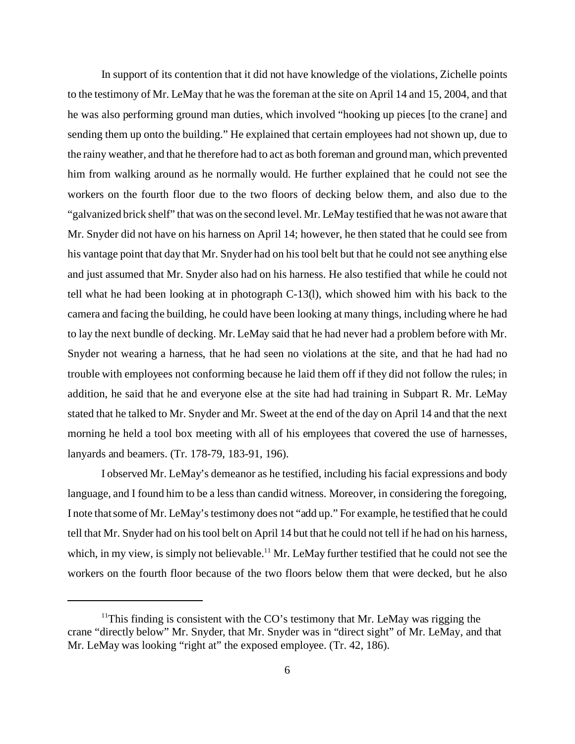In support of its contention that it did not have knowledge of the violations, Zichelle points to the testimony of Mr. LeMay that he was the foreman at the site on April 14 and 15, 2004, and that he was also performing ground man duties, which involved "hooking up pieces [to the crane] and sending them up onto the building." He explained that certain employees had not shown up, due to the rainy weather, and that he therefore had to act as both foreman and ground man, which prevented him from walking around as he normally would. He further explained that he could not see the workers on the fourth floor due to the two floors of decking below them, and also due to the "galvanized brick shelf" that was on the second level. Mr. LeMay testified that he was not aware that Mr. Snyder did not have on his harness on April 14; however, he then stated that he could see from his vantage point that day that Mr. Snyder had on his tool belt but that he could not see anything else and just assumed that Mr. Snyder also had on his harness. He also testified that while he could not tell what he had been looking at in photograph C-13(l), which showed him with his back to the camera and facing the building, he could have been looking at many things, including where he had to lay the next bundle of decking. Mr. LeMay said that he had never had a problem before with Mr. Snyder not wearing a harness, that he had seen no violations at the site, and that he had had no trouble with employees not conforming because he laid them off if they did not follow the rules; in addition, he said that he and everyone else at the site had had training in Subpart R. Mr. LeMay stated that he talked to Mr. Snyder and Mr. Sweet at the end of the day on April 14 and that the next morning he held a tool box meeting with all of his employees that covered the use of harnesses, lanyards and beamers. (Tr. 178-79, 183-91, 196).

I observed Mr. LeMay's demeanor as he testified, including his facial expressions and body language, and I found him to be a less than candid witness. Moreover, in considering the foregoing, I note that some of Mr. LeMay's testimony does not "add up." For example, he testified that he could tell that Mr. Snyder had on his tool belt on April 14 but that he could not tell if he had on his harness, which, in my view, is simply not believable.<sup>11</sup> Mr. LeMay further testified that he could not see the workers on the fourth floor because of the two floors below them that were decked, but he also

<sup>&</sup>lt;sup>11</sup>This finding is consistent with the CO's testimony that Mr. LeMay was rigging the crane "directly below" Mr. Snyder, that Mr. Snyder was in "direct sight" of Mr. LeMay, and that Mr. LeMay was looking "right at" the exposed employee. (Tr. 42, 186).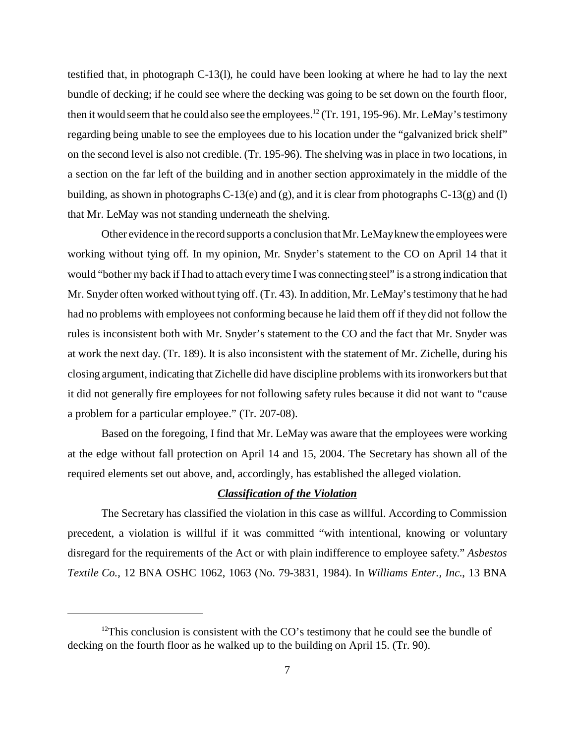testified that, in photograph C-13(l), he could have been looking at where he had to lay the next bundle of decking; if he could see where the decking was going to be set down on the fourth floor, then it would seem that he could also see the employees.<sup>12</sup> (Tr. 191, 195-96). Mr. LeMay's testimony regarding being unable to see the employees due to his location under the "galvanized brick shelf" on the second level is also not credible. (Tr. 195-96). The shelving was in place in two locations, in a section on the far left of the building and in another section approximately in the middle of the building, as shown in photographs C-13(e) and (g), and it is clear from photographs C-13(g) and (l) that Mr. LeMay was not standing underneath the shelving.

Other evidence in the record supports a conclusion that Mr. LeMay knew the employees were working without tying off. In my opinion, Mr. Snyder's statement to the CO on April 14 that it would "bother my back if I had to attach every time I was connecting steel" is a strong indication that Mr. Snyder often worked without tying off. (Tr. 43). In addition, Mr. LeMay's testimony that he had had no problems with employees not conforming because he laid them off if they did not follow the rules is inconsistent both with Mr. Snyder's statement to the CO and the fact that Mr. Snyder was at work the next day. (Tr. 189). It is also inconsistent with the statement of Mr. Zichelle, during his closing argument, indicating that Zichelle did have discipline problems with its ironworkers but that it did not generally fire employees for not following safety rules because it did not want to "cause a problem for a particular employee." (Tr. 207-08).

Based on the foregoing, I find that Mr. LeMay was aware that the employees were working at the edge without fall protection on April 14 and 15, 2004. The Secretary has shown all of the required elements set out above, and, accordingly, has established the alleged violation.

#### *Classification of the Violation*

The Secretary has classified the violation in this case as willful. According to Commission precedent, a violation is willful if it was committed "with intentional, knowing or voluntary disregard for the requirements of the Act or with plain indifference to employee safety." *Asbestos Textile Co.*, 12 BNA OSHC 1062, 1063 (No. 79-3831, 1984). In *Williams Enter., Inc.*, 13 BNA

 $12$ This conclusion is consistent with the CO's testimony that he could see the bundle of decking on the fourth floor as he walked up to the building on April 15. (Tr. 90).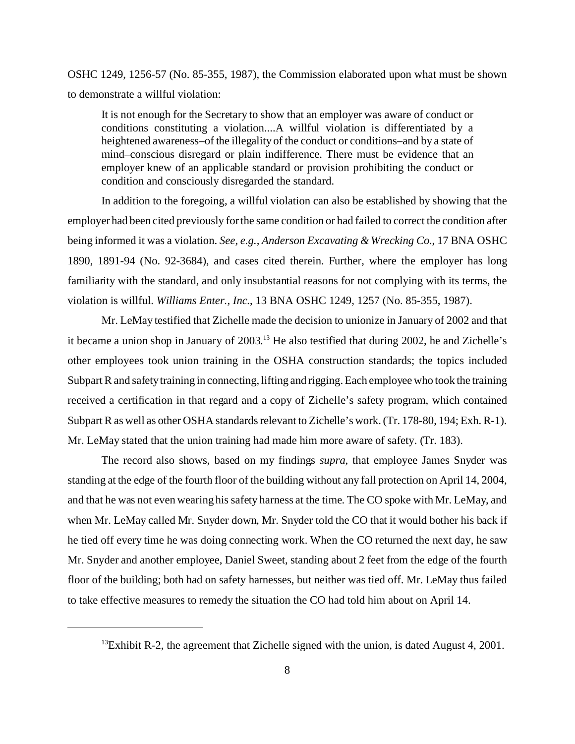OSHC 1249, 1256-57 (No. 85-355, 1987), the Commission elaborated upon what must be shown to demonstrate a willful violation:

It is not enough for the Secretary to show that an employer was aware of conduct or conditions constituting a violation....A willful violation is differentiated by a heightened awareness–of the illegality of the conduct or conditions–and by a state of mind–conscious disregard or plain indifference. There must be evidence that an employer knew of an applicable standard or provision prohibiting the conduct or condition and consciously disregarded the standard.

In addition to the foregoing, a willful violation can also be established by showing that the employer had been cited previously for the same condition or had failed to correct the condition after being informed it was a violation. *See, e.g., Anderson Excavating & Wrecking Co.*, 17 BNA OSHC 1890, 1891-94 (No. 92-3684), and cases cited therein. Further, where the employer has long familiarity with the standard, and only insubstantial reasons for not complying with its terms, the violation is willful. *Williams Enter., Inc.*, 13 BNA OSHC 1249, 1257 (No. 85-355, 1987).

Mr. LeMay testified that Zichelle made the decision to unionize in January of 2002 and that it became a union shop in January of 2003. 13 He also testified that during 2002, he and Zichelle's other employees took union training in the OSHA construction standards; the topics included Subpart R and safety training in connecting, lifting and rigging. Each employee who took the training received a certification in that regard and a copy of Zichelle's safety program, which contained Subpart R as well as other OSHA standards relevant to Zichelle's work. (Tr. 178-80, 194; Exh. R-1). Mr. LeMay stated that the union training had made him more aware of safety. (Tr. 183).

The record also shows, based on my findings *supra*, that employee James Snyder was standing at the edge of the fourth floor of the building without any fall protection on April 14, 2004, and that he was not even wearing his safety harness at the time. The CO spoke with Mr. LeMay, and when Mr. LeMay called Mr. Snyder down, Mr. Snyder told the CO that it would bother his back if he tied off every time he was doing connecting work. When the CO returned the next day, he saw Mr. Snyder and another employee, Daniel Sweet, standing about 2 feet from the edge of the fourth floor of the building; both had on safety harnesses, but neither was tied off. Mr. LeMay thus failed to take effective measures to remedy the situation the CO had told him about on April 14.

 $^{13}$ Exhibit R-2, the agreement that Zichelle signed with the union, is dated August 4, 2001.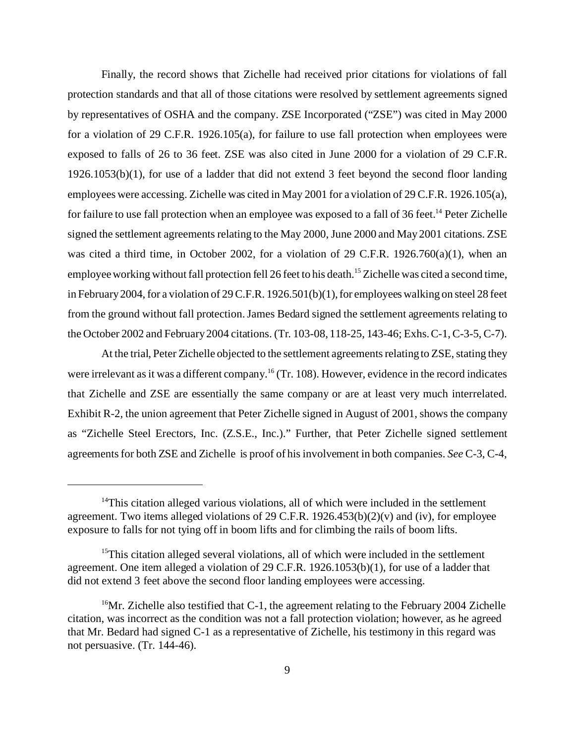Finally, the record shows that Zichelle had received prior citations for violations of fall protection standards and that all of those citations were resolved by settlement agreements signed by representatives of OSHA and the company. ZSE Incorporated ("ZSE") was cited in May 2000 for a violation of 29 C.F.R. 1926.105(a), for failure to use fall protection when employees were exposed to falls of 26 to 36 feet. ZSE was also cited in June 2000 for a violation of 29 C.F.R. 1926.1053(b)(1), for use of a ladder that did not extend 3 feet beyond the second floor landing employees were accessing. Zichelle was cited in May 2001 for a violation of 29 C.F.R. 1926.105(a), for failure to use fall protection when an employee was exposed to a fall of 36 feet.<sup>14</sup> Peter Zichelle signed the settlement agreements relating to the May 2000, June 2000 and May 2001 citations. ZSE was cited a third time, in October 2002, for a violation of 29 C.F.R. 1926.760(a)(1), when an employee working without fall protection fell 26 feet to his death.<sup>15</sup> Zichelle was cited a second time, in February 2004, for a violation of 29 C.F.R. 1926.501(b)(1), for employees walking on steel 28 feet from the ground without fall protection. James Bedard signed the settlement agreements relating to the October 2002 and February 2004 citations. (Tr. 103-08, 118-25, 143-46; Exhs. C-1, C-3-5, C-7).

At the trial, Peter Zichelle objected to the settlement agreements relating to ZSE, stating they were irrelevant as it was a different company.<sup>16</sup> (Tr. 108). However, evidence in the record indicates that Zichelle and ZSE are essentially the same company or are at least very much interrelated. Exhibit R-2, the union agreement that Peter Zichelle signed in August of 2001, shows the company as "Zichelle Steel Erectors, Inc. (Z.S.E., Inc.)." Further, that Peter Zichelle signed settlement agreements for both ZSE and Zichelle is proof of his involvement in both companies. *See* C-3, C-4,

 $14$ This citation alleged various violations, all of which were included in the settlement agreement. Two items alleged violations of 29 C.F.R. 1926.453(b)(2)(v) and (iv), for employee exposure to falls for not tying off in boom lifts and for climbing the rails of boom lifts.

<sup>&</sup>lt;sup>15</sup>This citation alleged several violations, all of which were included in the settlement agreement. One item alleged a violation of 29 C.F.R. 1926.1053(b)(1), for use of a ladder that did not extend 3 feet above the second floor landing employees were accessing.

<sup>&</sup>lt;sup>16</sup>Mr. Zichelle also testified that C-1, the agreement relating to the February 2004 Zichelle citation, was incorrect as the condition was not a fall protection violation; however, as he agreed that Mr. Bedard had signed C-1 as a representative of Zichelle, his testimony in this regard was not persuasive. (Tr. 144-46).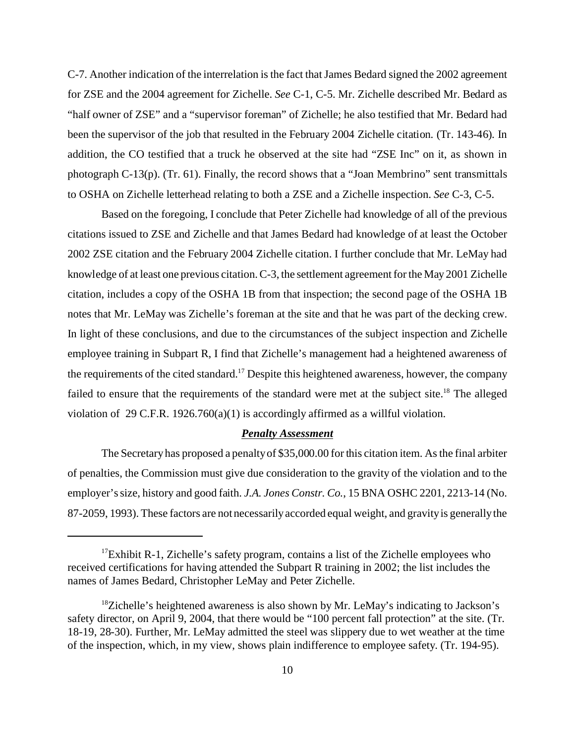C-7. Another indication of the interrelation is the fact that James Bedard signed the 2002 agreement for ZSE and the 2004 agreement for Zichelle. *See* C-1, C-5. Mr. Zichelle described Mr. Bedard as "half owner of ZSE" and a "supervisor foreman" of Zichelle; he also testified that Mr. Bedard had been the supervisor of the job that resulted in the February 2004 Zichelle citation. (Tr. 143-46). In addition, the CO testified that a truck he observed at the site had "ZSE Inc" on it, as shown in photograph C-13(p). (Tr. 61). Finally, the record shows that a "Joan Membrino" sent transmittals to OSHA on Zichelle letterhead relating to both a ZSE and a Zichelle inspection. *See* C-3, C-5.

Based on the foregoing, I conclude that Peter Zichelle had knowledge of all of the previous citations issued to ZSE and Zichelle and that James Bedard had knowledge of at least the October 2002 ZSE citation and the February 2004 Zichelle citation. I further conclude that Mr. LeMay had knowledge of at least one previous citation. C-3, the settlement agreement for the May 2001 Zichelle citation, includes a copy of the OSHA 1B from that inspection; the second page of the OSHA 1B notes that Mr. LeMay was Zichelle's foreman at the site and that he was part of the decking crew. In light of these conclusions, and due to the circumstances of the subject inspection and Zichelle employee training in Subpart R, I find that Zichelle's management had a heightened awareness of the requirements of the cited standard.17 Despite this heightened awareness, however, the company failed to ensure that the requirements of the standard were met at the subject site.<sup>18</sup> The alleged violation of 29 C.F.R. 1926.760(a)(1) is accordingly affirmed as a willful violation.

#### *Penalty Assessment*

The Secretary has proposed a penalty of \$35,000.00 for this citation item. As the final arbiter of penalties, the Commission must give due consideration to the gravity of the violation and to the employer's size, history and good faith. *J.A. Jones Constr. Co.*, 15 BNA OSHC 2201, 2213-14 (No. 87-2059, 1993). These factors are not necessarily accorded equal weight, and gravity is generally the

 $17$ Exhibit R-1, Zichelle's safety program, contains a list of the Zichelle employees who received certifications for having attended the Subpart R training in 2002; the list includes the names of James Bedard, Christopher LeMay and Peter Zichelle.

 $18$ Zichelle's heightened awareness is also shown by Mr. LeMay's indicating to Jackson's safety director, on April 9, 2004, that there would be "100 percent fall protection" at the site. (Tr. 18-19, 28-30). Further, Mr. LeMay admitted the steel was slippery due to wet weather at the time of the inspection, which, in my view, shows plain indifference to employee safety. (Tr. 194-95).